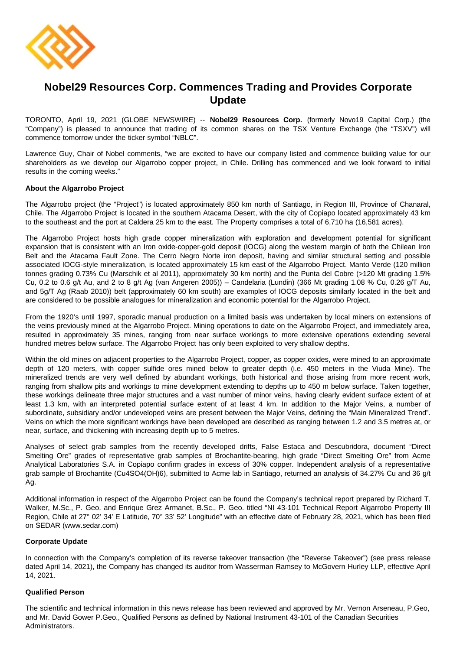

# **Nobel29 Resources Corp. Commences Trading and Provides Corporate Update**

TORONTO, April 19, 2021 (GLOBE NEWSWIRE) -- **Nobel29 Resources Corp.** (formerly Novo19 Capital Corp.) (the "Company") is pleased to announce that trading of its common shares on the TSX Venture Exchange (the "TSXV") will commence tomorrow under the ticker symbol "NBLC".

Lawrence Guy, Chair of Nobel comments, "we are excited to have our company listed and commence building value for our shareholders as we develop our Algarrobo copper project, in Chile. Drilling has commenced and we look forward to initial results in the coming weeks."

# **About the Algarrobo Project**

The Algarrobo project (the "Project") is located approximately 850 km north of Santiago, in Region III, Province of Chanaral, Chile. The Algarrobo Project is located in the southern Atacama Desert, with the city of Copiapo located approximately 43 km to the southeast and the port at Caldera 25 km to the east. The Property comprises a total of 6,710 ha (16,581 acres).

The Algarrobo Project hosts high grade copper mineralization with exploration and development potential for significant expansion that is consistent with an Iron oxide-copper-gold deposit (IOCG) along the western margin of both the Chilean Iron Belt and the Atacama Fault Zone. The Cerro Negro Norte iron deposit, having and similar structural setting and possible associated IOCG-style mineralization, is located approximately 15 km east of the Algarrobo Project. Manto Verde (120 million tonnes grading 0.73% Cu (Marschik et al 2011), approximately 30 km north) and the Punta del Cobre (>120 Mt grading 1.5% Cu, 0.2 to 0.6 g/t Au, and 2 to 8 g/t Ag (van Angeren 2005)) – Candelaria (Lundin) (366 Mt grading 1.08 % Cu, 0.26 g/T Au, and 5g/T Ag (Raab 2010)) belt (approximately 60 km south) are examples of IOCG deposits similarly located in the belt and are considered to be possible analogues for mineralization and economic potential for the Algarrobo Project.

From the 1920's until 1997, sporadic manual production on a limited basis was undertaken by local miners on extensions of the veins previously mined at the Algarrobo Project. Mining operations to date on the Algarrobo Project, and immediately area, resulted in approximately 35 mines, ranging from near surface workings to more extensive operations extending several hundred metres below surface. The Algarrobo Project has only been exploited to very shallow depths.

Within the old mines on adjacent properties to the Algarrobo Project, copper, as copper oxides, were mined to an approximate depth of 120 meters, with copper sulfide ores mined below to greater depth (i.e. 450 meters in the Viuda Mine). The mineralized trends are very well defined by abundant workings, both historical and those arising from more recent work, ranging from shallow pits and workings to mine development extending to depths up to 450 m below surface. Taken together, these workings delineate three major structures and a vast number of minor veins, having clearly evident surface extent of at least 1.3 km, with an interpreted potential surface extent of at least 4 km. In addition to the Major Veins, a number of subordinate, subsidiary and/or undeveloped veins are present between the Major Veins, defining the "Main Mineralized Trend". Veins on which the more significant workings have been developed are described as ranging between 1.2 and 3.5 metres at, or near, surface, and thickening with increasing depth up to 5 metres.

Analyses of select grab samples from the recently developed drifts, False Estaca and Descubridora, document "Direct Smelting Ore" grades of representative grab samples of Brochantite-bearing, high grade "Direct Smelting Ore" from Acme Analytical Laboratories S.A. in Copiapo confirm grades in excess of 30% copper. Independent analysis of a representative grab sample of Brochantite (Cu4SO4(OH)6), submitted to Acme lab in Santiago, returned an analysis of 34.27% Cu and 36 g/t Ag.

Additional information in respect of the Algarrobo Project can be found the Company's technical report prepared by Richard T. Walker, M.Sc., P. Geo. and Enrique Grez Armanet, B.Sc., P. Geo. titled "NI 43-101 Technical Report Algarrobo Property III Region, Chile at 27° 02' 34' E Latitude, 70° 33' 52' Longitude" with an effective date of February 28, 2021, which has been filed on SEDAR (www.sedar.com)

# **Corporate Update**

In connection with the Company's completion of its reverse takeover transaction (the "Reverse Takeover") (see press release dated April 14, 2021), the Company has changed its auditor from Wasserman Ramsey to McGovern Hurley LLP, effective April 14, 2021.

# **Qualified Person**

The scientific and technical information in this news release has been reviewed and approved by Mr. Vernon Arseneau, P.Geo, and Mr. David Gower P.Geo., Qualified Persons as defined by National Instrument 43-101 of the Canadian Securities Administrators.